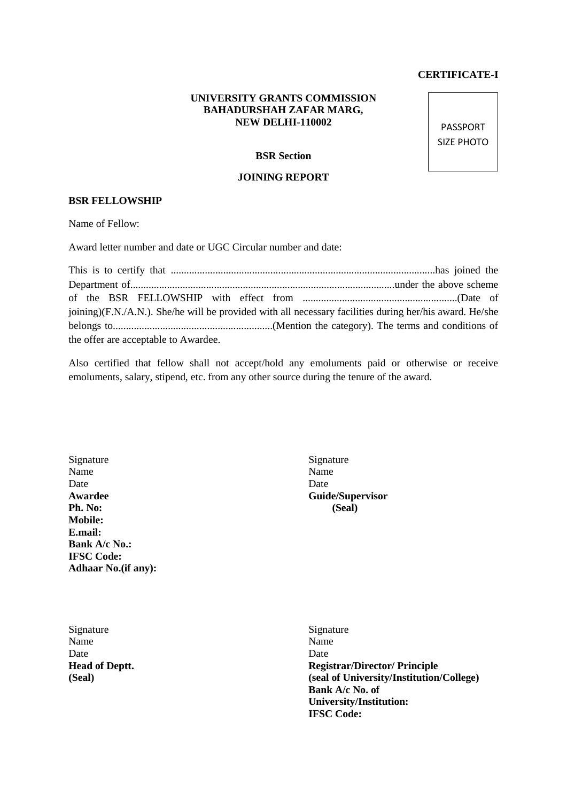## **CERTIFICATE-I**

## **UNIVERSITY GRANTS COMMISSION BAHADURSHAH ZAFAR MARG, NEW DELHI-110002**

**BSR Section**

## **JOINING REPORT**

## **BSR FELLOWSHIP**

Name of Fellow:

Award letter number and date or UGC Circular number and date:

This is to certify that .....................................................................................................has joined the Department of.....................................................................................................under the above scheme of the BSR FELLOWSHIP with effect from ...........................................................(Date of joining)(F.N./A.N.). She/he will be provided with all necessary facilities during her/his award. He/she belongs to.............................................................(Mention the category). The terms and conditions of the offer are acceptable to Awardee.

Also certified that fellow shall not accept/hold any emoluments paid or otherwise or receive emoluments, salary, stipend, etc. from any other source during the tenure of the award.

Signature Signature Signature Name Name Name Date Date Date **Awardee Guide/Supervisor Ph. No: (Seal) Mobile: E.mail: Bank A/c No.: IFSC Code: Adhaar No.(if any):**

Signature Signature Signature Name Name Name Date Date Date

**Head of Deptt. Registrar/Director/ Principle (Seal) (seal of University/Institution/College) Bank A/c No. of University/Institution: IFSC Code:**

PASSPORT SIZE PHOTO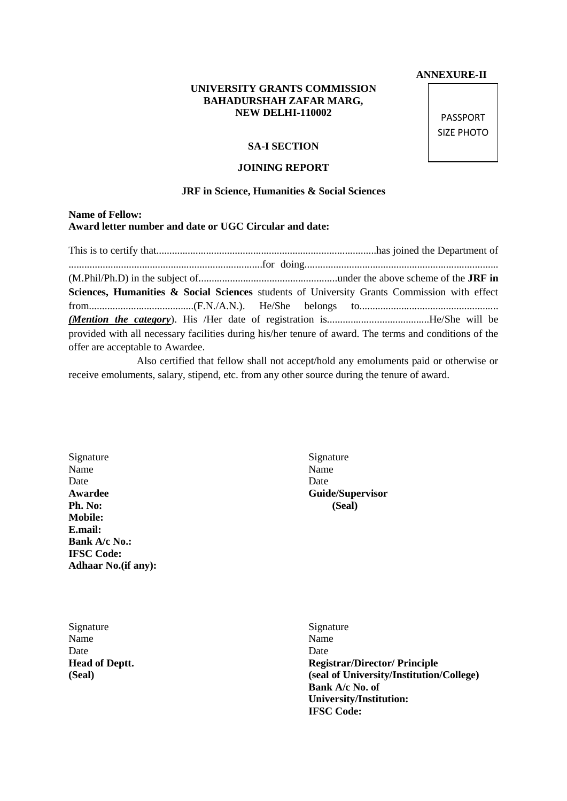#### **ANNEXURE-II**

## **UNIVERSITY GRANTS COMMISSION BAHADURSHAH ZAFAR MARG, NEW DELHI-110002**

#### **SA-I SECTION**

#### **JOINING REPORT**

#### **JRF in Science, Humanities & Social Sciences**

## **Name of Fellow: Award letter number and date or UGC Circular and date:**

This is to certify that....................................................................................has joined the Department of ..........................................................................for doing.......................................................................... (M.Phil/Ph.D) in the subject of.....................................................under the above scheme of the **JRF in**  Sciences, Humanities & Social Sciences students of University Grants Commission with effect from........................................(F.N./A.N.). He/She belongs to..................................................... *(Mention the category*). His /Her date of registration is.......................................He/She will be provided with all necessary facilities during his/her tenure of award. The terms and conditions of the offer are acceptable to Awardee.

 Also certified that fellow shall not accept/hold any emoluments paid or otherwise or receive emoluments, salary, stipend, etc. from any other source during the tenure of award.

Signature Signature Signature Name Name Name Date Date Date **Awardee Guide/Supervisor Ph. No: (Seal) Mobile: E.mail: Bank A/c No.: IFSC Code: Adhaar No.(if any):**

Signature Signature Signature Name Name Name Date Date Date

**Head of Deptt. Registrar/Director/ Principle (Seal) (seal of University/Institution/College) Bank A/c No. of University/Institution: IFSC Code:**

PASSPORT SIZE PHOTO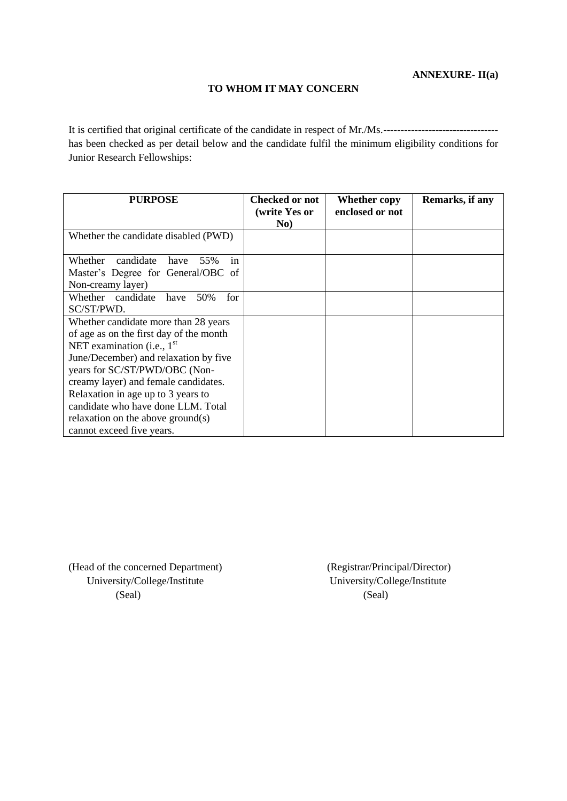## **TO WHOM IT MAY CONCERN**

It is certified that original certificate of the candidate in respect of Mr./Ms.-------------------------------- has been checked as per detail below and the candidate fulfil the minimum eligibility conditions for Junior Research Fellowships:

| <b>PURPOSE</b>                                                                                                                                                                                                                                                                                                                                                                  | <b>Checked or not</b><br>(write Yes or<br>No) | <b>Whether copy</b><br>enclosed or not | Remarks, if any |
|---------------------------------------------------------------------------------------------------------------------------------------------------------------------------------------------------------------------------------------------------------------------------------------------------------------------------------------------------------------------------------|-----------------------------------------------|----------------------------------------|-----------------|
| Whether the candidate disabled (PWD)                                                                                                                                                                                                                                                                                                                                            |                                               |                                        |                 |
| candidate<br>Whether<br>have<br>55%<br><sub>in</sub><br>Master's Degree for General/OBC of<br>Non-creamy layer)                                                                                                                                                                                                                                                                 |                                               |                                        |                 |
| Whether candidate<br>have<br>50%<br>for<br>SC/ST/PWD.                                                                                                                                                                                                                                                                                                                           |                                               |                                        |                 |
| Whether candidate more than 28 years<br>of age as on the first day of the month<br>NET examination (i.e., $1st$<br>June/December) and relaxation by five<br>years for SC/ST/PWD/OBC (Non-<br>creamy layer) and female candidates.<br>Relaxation in age up to 3 years to<br>candidate who have done LLM. Total<br>relaxation on the above ground(s)<br>cannot exceed five years. |                                               |                                        |                 |

(Head of the concerned Department) (Registrar/Principal/Director) University/College/Institute University/College/Institute (Seal) (Seal)